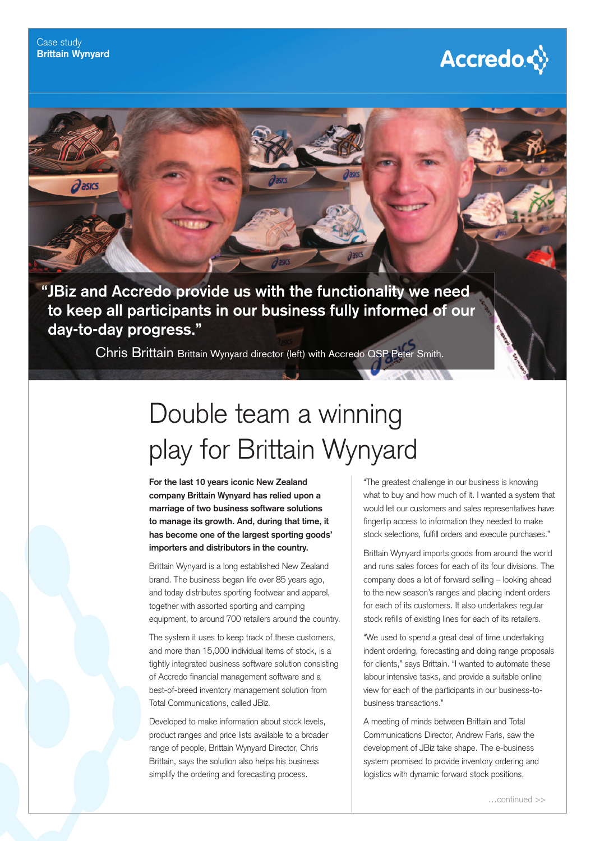$\partial$ asics

## **Accredo☆**

**" JBiz and Accredo provide us with the functionality we need to keep all participants in our business fully informed of our** 

**day-to-day progress."**

Chris Brittain Brittain Wynyard director (left) with Accredo QSP Peter Smith.

## Double team a winning play for Brittain Wynyard

**For the last 10 years iconic New Zealand company Brittain Wynyard has relied upon a marriage of two business software solutions to manage its growth. And, during that time, it has become one of the largest sporting goods' importers and distributors in the country.**

Brittain Wynyard is a long established New Zealand brand. The business began life over 85 years ago, and today distributes sporting footwear and apparel, together with assorted sporting and camping equipment, to around 700 retailers around the country.

The system it uses to keep track of these customers, and more than 15,000 individual items of stock, is a tightly integrated business software solution consisting of Accredo financial management software and a best-of-breed inventory management solution from Total Communications, called JBiz.

Developed to make information about stock levels, product ranges and price lists available to a broader range of people, Brittain Wynyard Director, Chris Brittain, says the solution also helps his business simplify the ordering and forecasting process.

"The greatest challenge in our business is knowing what to buy and how much of it. I wanted a system that would let our customers and sales representatives have fingertip access to information they needed to make stock selections, fulfill orders and execute purchases."

Brittain Wynyard imports goods from around the world and runs sales forces for each of its four divisions. The company does a lot of forward selling – looking ahead to the new season's ranges and placing indent orders for each of its customers. It also undertakes regular stock refills of existing lines for each of its retailers.

"We used to spend a great deal of time undertaking indent ordering, forecasting and doing range proposals for clients," says Brittain. "I wanted to automate these labour intensive tasks, and provide a suitable online view for each of the participants in our business-tobusiness transactions."

A meeting of minds between Brittain and Total Communications Director, Andrew Faris, saw the development of JBiz take shape. The e-business system promised to provide inventory ordering and logistics with dynamic forward stock positions,